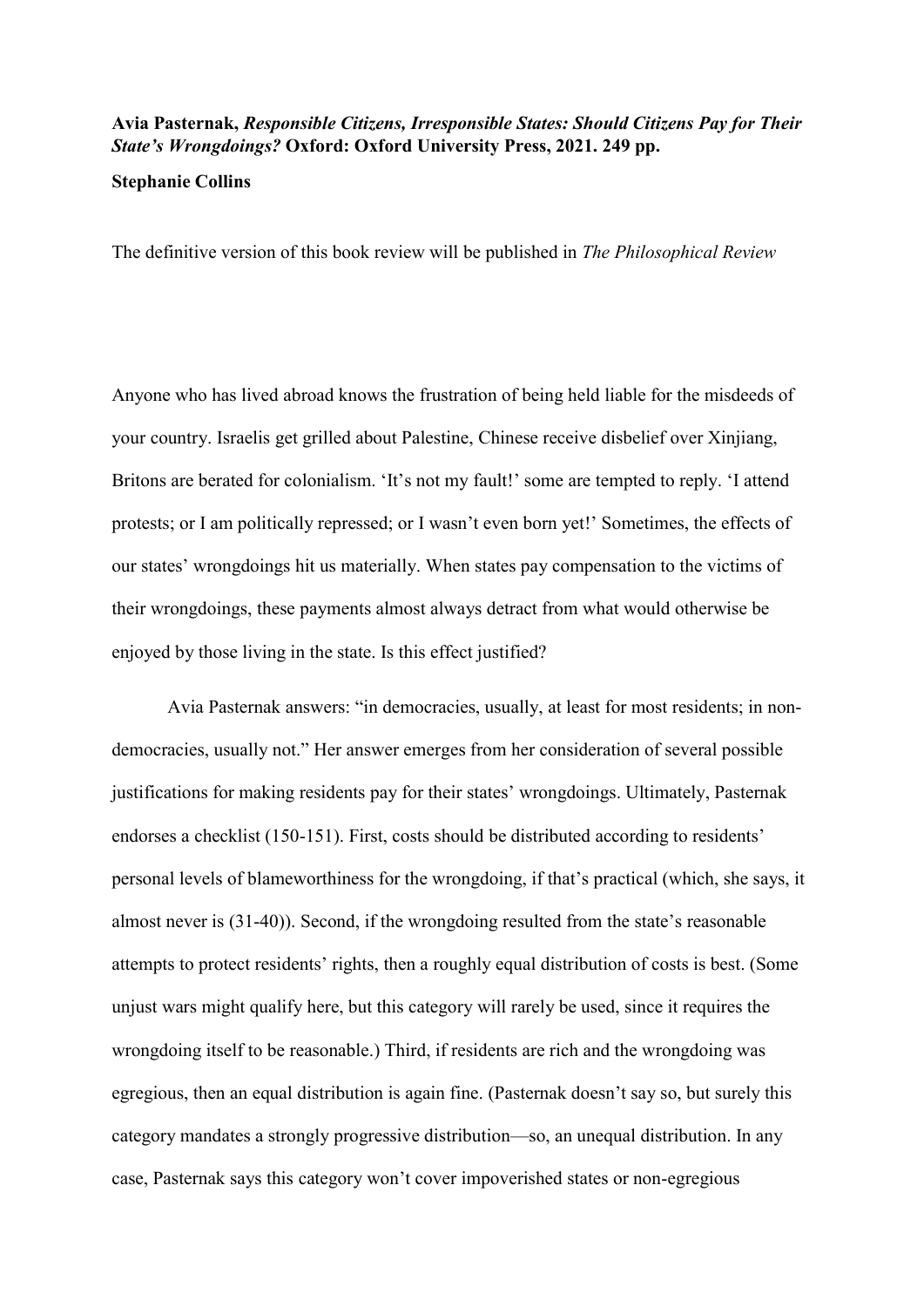## Avia Pasternak, Responsible Citizens, Irresponsible States: Should Citizens Pay for Their State's Wrongdoings? Oxford: Oxford University Press, 2021. 249 pp.

## Stephanie Collins

The definitive version of this book review will be published in The Philosophical Review

Anyone who has lived abroad knows the frustration of being held liable for the misdeeds of your country. Israelis get grilled about Palestine, Chinese receive disbelief over Xinjiang, Britons are berated for colonialism. 'It's not my fault!' some are tempted to reply. 'I attend protests; or I am politically repressed; or I wasn't even born yet!' Sometimes, the effects of our states' wrongdoings hit us materially. When states pay compensation to the victims of their wrongdoings, these payments almost always detract from what would otherwise be enjoyed by those living in the state. Is this effect justified?

 Avia Pasternak answers: "in democracies, usually, at least for most residents; in nondemocracies, usually not." Her answer emerges from her consideration of several possible justifications for making residents pay for their states' wrongdoings. Ultimately, Pasternak endorses a checklist (150-151). First, costs should be distributed according to residents' personal levels of blameworthiness for the wrongdoing, if that's practical (which, she says, it almost never is (31-40)). Second, if the wrongdoing resulted from the state's reasonable attempts to protect residents' rights, then a roughly equal distribution of costs is best. (Some unjust wars might qualify here, but this category will rarely be used, since it requires the wrongdoing itself to be reasonable.) Third, if residents are rich and the wrongdoing was egregious, then an equal distribution is again fine. (Pasternak doesn't say so, but surely this category mandates a strongly progressive distribution—so, an unequal distribution. In any case, Pasternak says this category won't cover impoverished states or non-egregious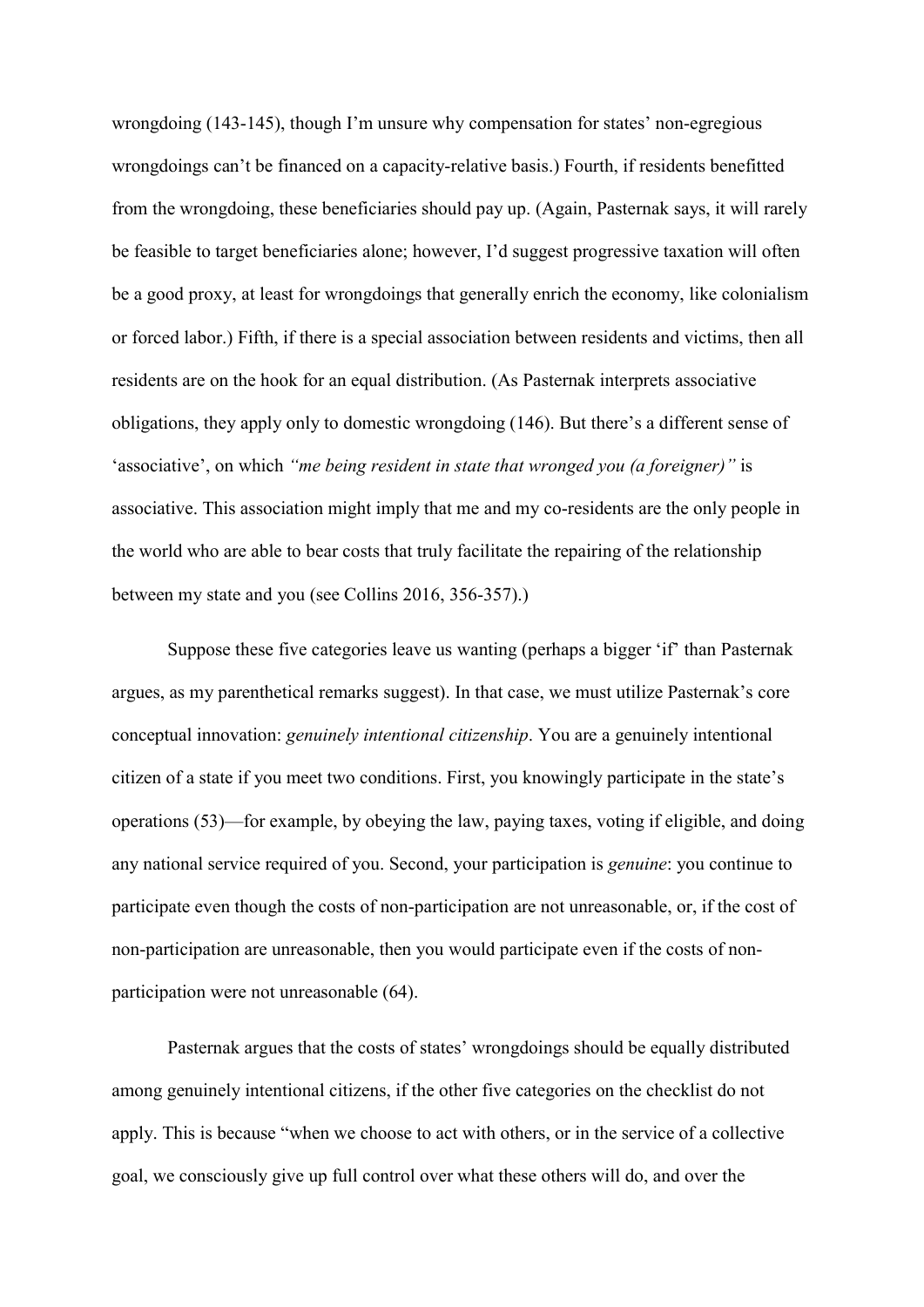wrongdoing (143-145), though I'm unsure why compensation for states' non-egregious wrongdoings can't be financed on a capacity-relative basis.) Fourth, if residents benefitted from the wrongdoing, these beneficiaries should pay up. (Again, Pasternak says, it will rarely be feasible to target beneficiaries alone; however, I'd suggest progressive taxation will often be a good proxy, at least for wrongdoings that generally enrich the economy, like colonialism or forced labor.) Fifth, if there is a special association between residents and victims, then all residents are on the hook for an equal distribution. (As Pasternak interprets associative obligations, they apply only to domestic wrongdoing (146). But there's a different sense of 'associative', on which "me being resident in state that wronged you (a foreigner)" is associative. This association might imply that me and my co-residents are the only people in the world who are able to bear costs that truly facilitate the repairing of the relationship between my state and you (see Collins 2016, 356-357).)

 Suppose these five categories leave us wanting (perhaps a bigger 'if' than Pasternak argues, as my parenthetical remarks suggest). In that case, we must utilize Pasternak's core conceptual innovation: genuinely intentional citizenship. You are a genuinely intentional citizen of a state if you meet two conditions. First, you knowingly participate in the state's operations (53)—for example, by obeying the law, paying taxes, voting if eligible, and doing any national service required of you. Second, your participation is genuine: you continue to participate even though the costs of non-participation are not unreasonable, or, if the cost of non-participation are unreasonable, then you would participate even if the costs of nonparticipation were not unreasonable (64).

 Pasternak argues that the costs of states' wrongdoings should be equally distributed among genuinely intentional citizens, if the other five categories on the checklist do not apply. This is because "when we choose to act with others, or in the service of a collective goal, we consciously give up full control over what these others will do, and over the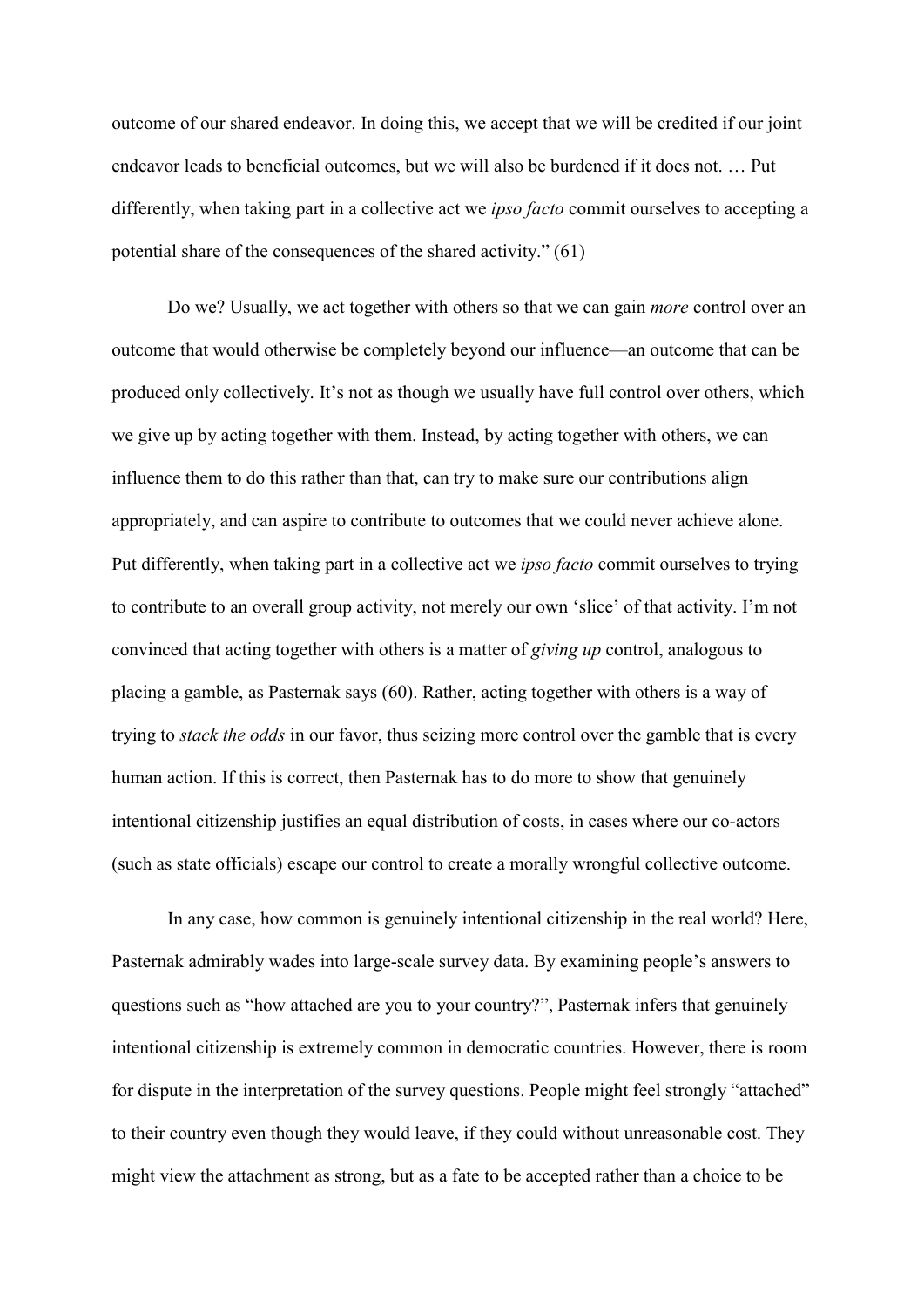outcome of our shared endeavor. In doing this, we accept that we will be credited if our joint endeavor leads to beneficial outcomes, but we will also be burdened if it does not. … Put differently, when taking part in a collective act we *ipso facto* commit ourselves to accepting a potential share of the consequences of the shared activity." (61)

Do we? Usually, we act together with others so that we can gain more control over an outcome that would otherwise be completely beyond our influence—an outcome that can be produced only collectively. It's not as though we usually have full control over others, which we give up by acting together with them. Instead, by acting together with others, we can influence them to do this rather than that, can try to make sure our contributions align appropriately, and can aspire to contribute to outcomes that we could never achieve alone. Put differently, when taking part in a collective act we *ipso facto* commit ourselves to trying to contribute to an overall group activity, not merely our own 'slice' of that activity. I'm not convinced that acting together with others is a matter of giving up control, analogous to placing a gamble, as Pasternak says (60). Rather, acting together with others is a way of trying to *stack the odds* in our favor, thus seizing more control over the gamble that is every human action. If this is correct, then Pasternak has to do more to show that genuinely intentional citizenship justifies an equal distribution of costs, in cases where our co-actors (such as state officials) escape our control to create a morally wrongful collective outcome.

 In any case, how common is genuinely intentional citizenship in the real world? Here, Pasternak admirably wades into large-scale survey data. By examining people's answers to questions such as "how attached are you to your country?", Pasternak infers that genuinely intentional citizenship is extremely common in democratic countries. However, there is room for dispute in the interpretation of the survey questions. People might feel strongly "attached" to their country even though they would leave, if they could without unreasonable cost. They might view the attachment as strong, but as a fate to be accepted rather than a choice to be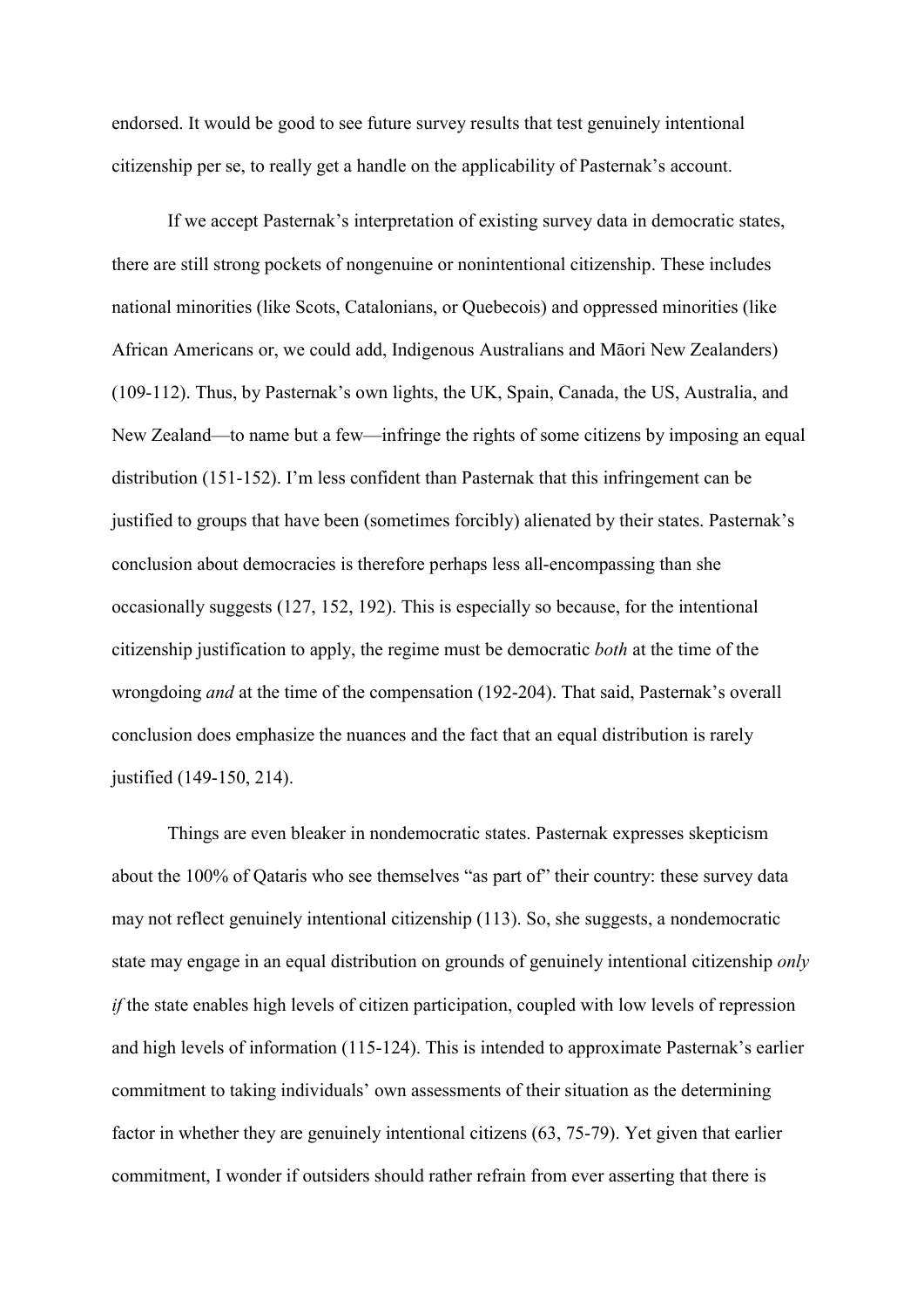endorsed. It would be good to see future survey results that test genuinely intentional citizenship per se, to really get a handle on the applicability of Pasternak's account.

If we accept Pasternak's interpretation of existing survey data in democratic states, there are still strong pockets of nongenuine or nonintentional citizenship. These includes national minorities (like Scots, Catalonians, or Quebecois) and oppressed minorities (like African Americans or, we could add, Indigenous Australians and Māori New Zealanders) (109-112). Thus, by Pasternak's own lights, the UK, Spain, Canada, the US, Australia, and New Zealand—to name but a few—infringe the rights of some citizens by imposing an equal distribution (151-152). I'm less confident than Pasternak that this infringement can be justified to groups that have been (sometimes forcibly) alienated by their states. Pasternak's conclusion about democracies is therefore perhaps less all-encompassing than she occasionally suggests (127, 152, 192). This is especially so because, for the intentional citizenship justification to apply, the regime must be democratic both at the time of the wrongdoing and at the time of the compensation (192-204). That said, Pasternak's overall conclusion does emphasize the nuances and the fact that an equal distribution is rarely justified (149-150, 214).

 Things are even bleaker in nondemocratic states. Pasternak expresses skepticism about the 100% of Qataris who see themselves "as part of" their country: these survey data may not reflect genuinely intentional citizenship (113). So, she suggests, a nondemocratic state may engage in an equal distribution on grounds of genuinely intentional citizenship only if the state enables high levels of citizen participation, coupled with low levels of repression and high levels of information (115-124). This is intended to approximate Pasternak's earlier commitment to taking individuals' own assessments of their situation as the determining factor in whether they are genuinely intentional citizens (63, 75-79). Yet given that earlier commitment, I wonder if outsiders should rather refrain from ever asserting that there is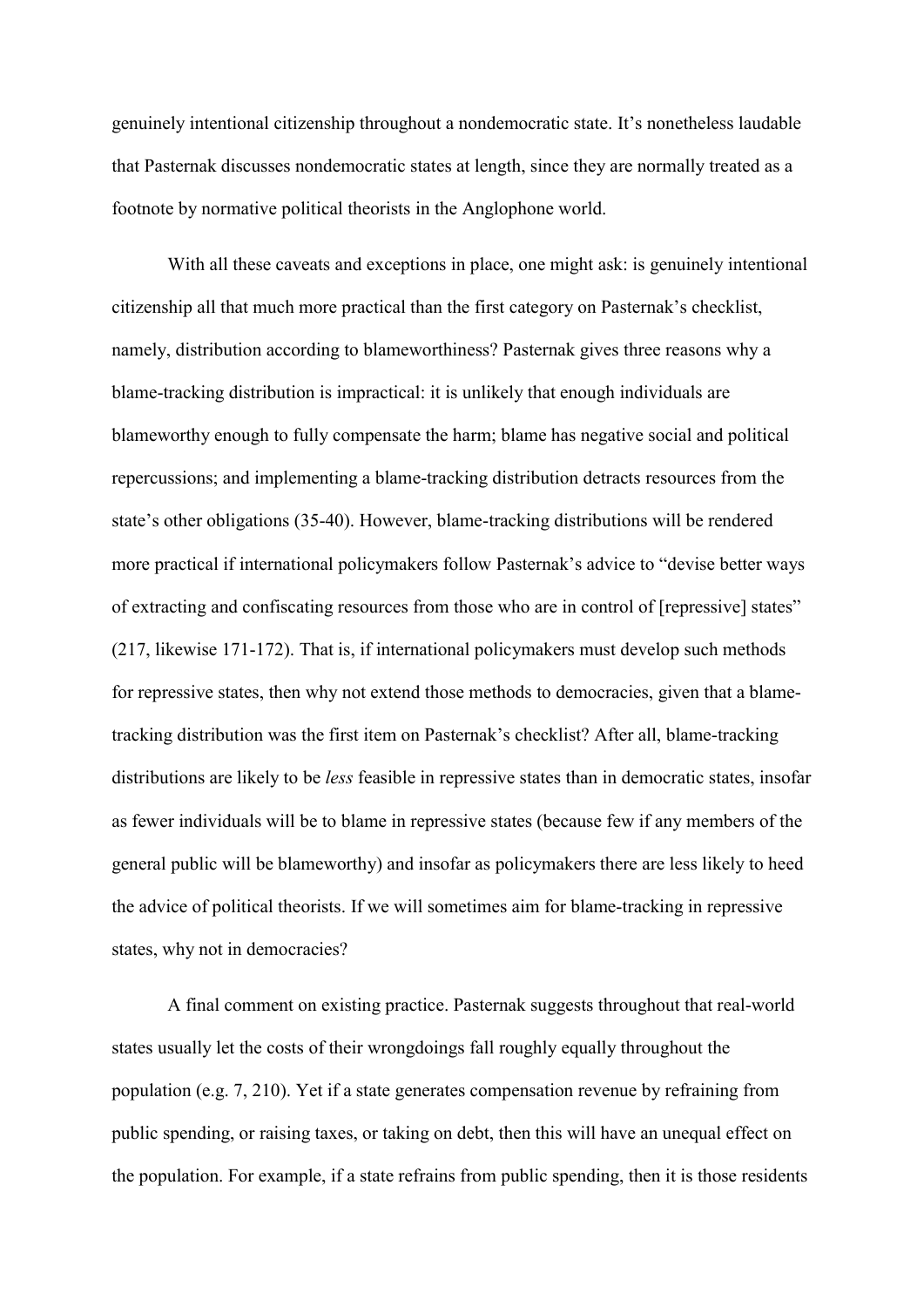genuinely intentional citizenship throughout a nondemocratic state. It's nonetheless laudable that Pasternak discusses nondemocratic states at length, since they are normally treated as a footnote by normative political theorists in the Anglophone world.

With all these caveats and exceptions in place, one might ask: is genuinely intentional citizenship all that much more practical than the first category on Pasternak's checklist, namely, distribution according to blameworthiness? Pasternak gives three reasons why a blame-tracking distribution is impractical: it is unlikely that enough individuals are blameworthy enough to fully compensate the harm; blame has negative social and political repercussions; and implementing a blame-tracking distribution detracts resources from the state's other obligations (35-40). However, blame-tracking distributions will be rendered more practical if international policymakers follow Pasternak's advice to "devise better ways of extracting and confiscating resources from those who are in control of [repressive] states" (217, likewise 171-172). That is, if international policymakers must develop such methods for repressive states, then why not extend those methods to democracies, given that a blametracking distribution was the first item on Pasternak's checklist? After all, blame-tracking distributions are likely to be *less* feasible in repressive states than in democratic states, insofar as fewer individuals will be to blame in repressive states (because few if any members of the general public will be blameworthy) and insofar as policymakers there are less likely to heed the advice of political theorists. If we will sometimes aim for blame-tracking in repressive states, why not in democracies?

 A final comment on existing practice. Pasternak suggests throughout that real-world states usually let the costs of their wrongdoings fall roughly equally throughout the population (e.g. 7, 210). Yet if a state generates compensation revenue by refraining from public spending, or raising taxes, or taking on debt, then this will have an unequal effect on the population. For example, if a state refrains from public spending, then it is those residents